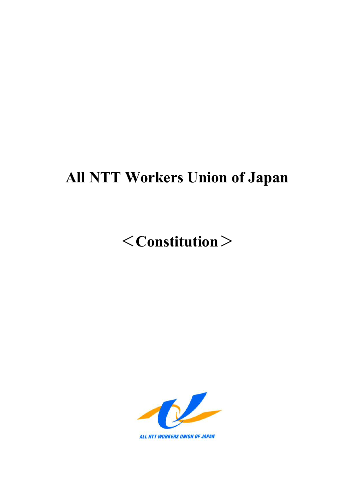## **All NTT Workers Union of Japan**

# <**Constitution**>

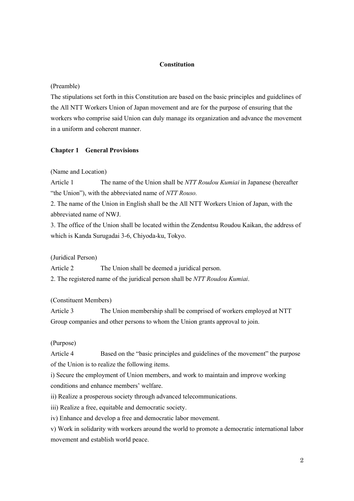## **Constitution**

#### (Preamble)

The stipulations set forth in this Constitution are based on the basic principles and guidelines of the All NTT Workers Union of Japan movement and are for the purpose of ensuring that the workers who comprise said Union can duly manage its organization and advance the movement in a uniform and coherent manner.

#### **Chapter 1 General Provisions**

#### (Name and Location)

Article 1 The name of the Union shall be *NTT Roudou Kumiai* in Japanese (hereafter "the Union"), with the abbreviated name of *NTT Rouso.*

2. The name of the Union in English shall be the All NTT Workers Union of Japan, with the abbreviated name of NWJ.

3. The office of the Union shall be located within the Zendentsu Roudou Kaikan, the address of which is Kanda Surugadai 3-6, Chiyoda-ku, Tokyo.

(Juridical Person)

Article 2 The Union shall be deemed a juridical person.

2. The registered name of the juridical person shall be *NTT Roudou Kumiai*.

#### (Constituent Members)

Article 3 The Union membership shall be comprised of workers employed at NTT Group companies and other persons to whom the Union grants approval to join.

#### (Purpose)

Article 4 Based on the "basic principles and guidelines of the movement" the purpose of the Union is to realize the following items.

i) Secure the employment of Union members, and work to maintain and improve working conditions and enhance members' welfare.

ii) Realize a prosperous society through advanced telecommunications.

iii) Realize a free, equitable and democratic society.

iv) Enhance and develop a free and democratic labor movement.

v) Work in solidarity with workers around the world to promote a democratic international labor movement and establish world peace.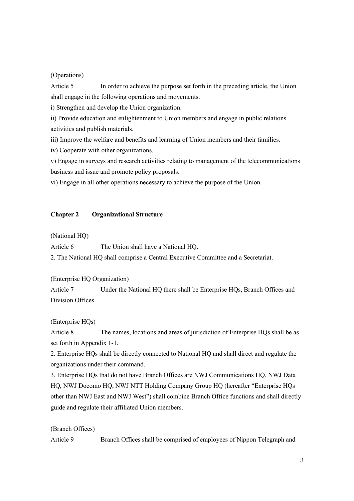## (Operations)

Article 5 In order to achieve the purpose set forth in the preceding article, the Union shall engage in the following operations and movements.

i) Strengthen and develop the Union organization.

ii) Provide education and enlightenment to Union members and engage in public relations activities and publish materials.

iii) Improve the welfare and benefits and learning of Union members and their families.

iv) Cooperate with other organizations.

v) Engage in surveys and research activities relating to management of the telecommunications business and issue and promote policy proposals.

vi) Engage in all other operations necessary to achieve the purpose of the Union.

#### **Chapter 2 Organizational Structure**

(National HQ)

Article 6 The Union shall have a National HO.

2. The National HQ shall comprise a Central Executive Committee and a Secretariat.

(Enterprise HQ Organization)

Article 7 Under the National HQ there shall be Enterprise HQs, Branch Offices and Division Offices.

(Enterprise HQs)

Article 8 The names, locations and areas of jurisdiction of Enterprise HQs shall be as set forth in Appendix 1-1.

2. Enterprise HQs shall be directly connected to National HQ and shall direct and regulate the organizations under their command.

3. Enterprise HQs that do not have Branch Offices are NWJ Communications HQ, NWJ Data HQ, NWJ Docomo HQ, NWJ NTT Holding Company Group HQ (hereafter "Enterprise HQs other than NWJ East and NWJ West") shall combine Branch Office functions and shall directly guide and regulate their affiliated Union members.

(Branch Offices)

Article 9 Branch Offices shall be comprised of employees of Nippon Telegraph and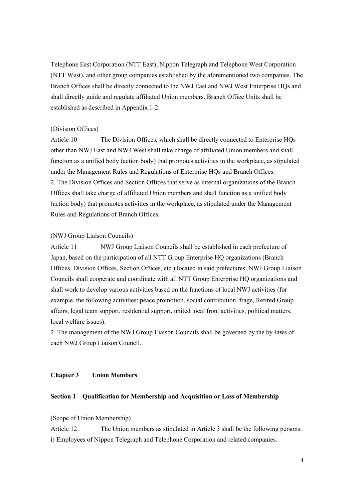Telephone East Corporation (NTT East), Nippon Telegraph and Telephone West Corporation (NTT West), and other group companies established by the aforementioned two companies. The Branch Offices shall be directly connected to the NWJ East and NWJ West Enterprise HQs and shall directly guide and regulate affiliated Union members. Branch Office Units shall be established as described in Appendix 1-2.

## (Division Offices)

Article 10 The Division Offices, which shall be directly connected to Enterprise HQs other than NWJ East and NWJ West shall take charge of affiliated Union members and shall function as a unified body (action body) that promotes activities in the workplace, as stipulated under the Management Rules and Regulations of Enterprise HQs and Branch Offices. 2. The Division Offices and Section Offices that serve as internal organizations of the Branch Offices shall take charge of affiliated Union members and shall function as a unified body (action body) that promotes activities in the workplace, as stipulated under the Management Rules and Regulations of Branch Offices.

#### (NWJ Group Liaison Councils)

Article 11 NWJ Group Liaison Councils shall be established in each prefecture of Japan, based on the participation of all NTT Group Enterprise HQ organizations (Branch Offices, Division Offices, Section Offices, etc.) located in said prefectures. NWJ Group Liaison Councils shall cooperate and coordinate with all NTT Group Enterprise HQ organizations and shall work to develop various activities based on the functions of local NWJ activities (for example, the following activities: peace promotion, social contribution, frage, Retired Group affairs, legal team support, residential support, united local front activities, political matters, local welfare issues).

2. The management of the NWJ Group Liaison Councils shall be governed by the by-laws of each NWJ Group Liaison Council.

## **Chapter 3 Union Members**

#### **Section 1 Qualification for Membership and Acquisition or Loss of Membership**

(Scope of Union Membership)

Article 12 The Union members as stipulated in Article 3 shall be the following persons: i) Employees of Nippon Telegraph and Telephone Corporation and related companies.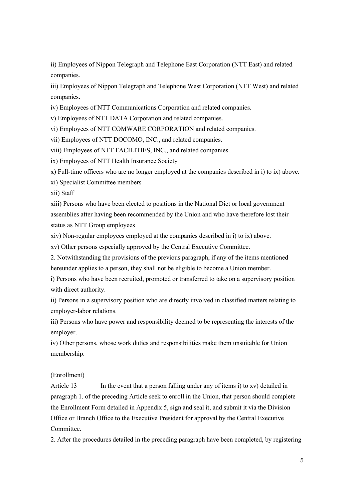ii) Employees of Nippon Telegraph and Telephone East Corporation (NTT East) and related companies.

iii) Employees of Nippon Telegraph and Telephone West Corporation (NTT West) and related companies.

iv) Employees of NTT Communications Corporation and related companies.

v) Employees of NTT DATA Corporation and related companies.

vi) Employees of NTT COMWARE CORPORATION and related companies.

vii) Employees of NTT DOCOMO, INC., and related companies.

viii) Employees of NTT FACILITIES, INC., and related companies.

ix) Employees of NTT Health Insurance Society

x) Full-time officers who are no longer employed at the companies described in i) to ix) above.

xi) Specialist Committee members

xii) Staff

xiii) Persons who have been elected to positions in the National Diet or local government assemblies after having been recommended by the Union and who have therefore lost their status as NTT Group employees

xiv) Non-regular employees employed at the companies described in i) to ix) above.

xv) Other persons especially approved by the Central Executive Committee.

2. Notwithstanding the provisions of the previous paragraph, if any of the items mentioned hereunder applies to a person, they shall not be eligible to become a Union member.

i) Persons who have been recruited, promoted or transferred to take on a supervisory position with direct authority.

ii) Persons in a supervisory position who are directly involved in classified matters relating to employer-labor relations.

iii) Persons who have power and responsibility deemed to be representing the interests of the employer.

iv) Other persons, whose work duties and responsibilities make them unsuitable for Union membership.

#### (Enrollment)

Article 13 In the event that a person falling under any of items i) to xv) detailed in paragraph 1. of the preceding Article seek to enroll in the Union, that person should complete the Enrollment Form detailed in Appendix 5, sign and seal it, and submit it via the Division Office or Branch Office to the Executive President for approval by the Central Executive Committee.

2. After the procedures detailed in the preceding paragraph have been completed, by registering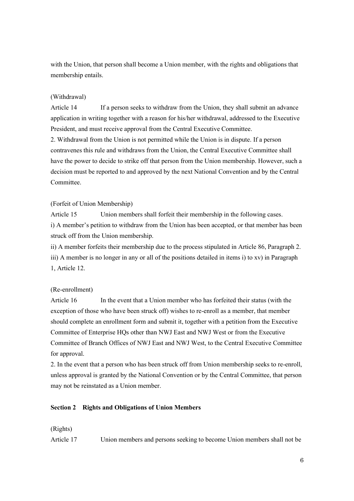with the Union, that person shall become a Union member, with the rights and obligations that membership entails.

## (Withdrawal)

Article 14 If a person seeks to withdraw from the Union, they shall submit an advance application in writing together with a reason for his/her withdrawal, addressed to the Executive President, and must receive approval from the Central Executive Committee.

2. Withdrawal from the Union is not permitted while the Union is in dispute. If a person contravenes this rule and withdraws from the Union, the Central Executive Committee shall have the power to decide to strike off that person from the Union membership. However, such a decision must be reported to and approved by the next National Convention and by the Central Committee.

#### (Forfeit of Union Membership)

Article 15 Union members shall forfeit their membership in the following cases. i) A member's petition to withdraw from the Union has been accepted, or that member has been struck off from the Union membership.

ii) A member forfeits their membership due to the process stipulated in Article 86, Paragraph 2. iii) A member is no longer in any or all of the positions detailed in items i) to xv) in Paragraph 1, Article 12.

## (Re-enrollment)

Article 16 In the event that a Union member who has forfeited their status (with the exception of those who have been struck off) wishes to re-enroll as a member, that member should complete an enrollment form and submit it, together with a petition from the Executive Committee of Enterprise HQs other than NWJ East and NWJ West or from the Executive Committee of Branch Offices of NWJ East and NWJ West, to the Central Executive Committee for approval.

2. In the event that a person who has been struck off from Union membership seeks to re-enroll, unless approval is granted by the National Convention or by the Central Committee, that person may not be reinstated as a Union member.

#### **Section 2 Rights and Obligations of Union Members**

(Rights)

Article 17 Union members and persons seeking to become Union members shall not be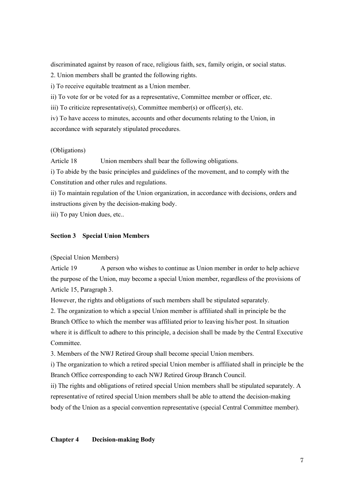discriminated against by reason of race, religious faith, sex, family origin, or social status.

2. Union members shall be granted the following rights.

i) To receive equitable treatment as a Union member.

ii) To vote for or be voted for as a representative, Committee member or officer, etc.

iii) To criticize representative(s), Committee member(s) or officer(s), etc.

iv) To have access to minutes, accounts and other documents relating to the Union, in accordance with separately stipulated procedures.

#### (Obligations)

Article 18 Union members shall bear the following obligations.

i) To abide by the basic principles and guidelines of the movement, and to comply with the Constitution and other rules and regulations.

ii) To maintain regulation of the Union organization, in accordance with decisions, orders and instructions given by the decision-making body.

iii) To pay Union dues, etc..

#### **Section 3 Special Union Members**

## (Special Union Members)

Article 19 A person who wishes to continue as Union member in order to help achieve the purpose of the Union, may become a special Union member, regardless of the provisions of Article 15, Paragraph 3.

However, the rights and obligations of such members shall be stipulated separately.

2. The organization to which a special Union member is affiliated shall in principle be the Branch Office to which the member was affiliated prior to leaving his/her post. In situation where it is difficult to adhere to this principle, a decision shall be made by the Central Executive Committee.

3. Members of the NWJ Retired Group shall become special Union members.

i) The organization to which a retired special Union member is affiliated shall in principle be the Branch Office corresponding to each NWJ Retired Group Branch Council.

ii) The rights and obligations of retired special Union members shall be stipulated separately. A representative of retired special Union members shall be able to attend the decision-making body of the Union as a special convention representative (special Central Committee member).

## **Chapter 4 Decision-making Body**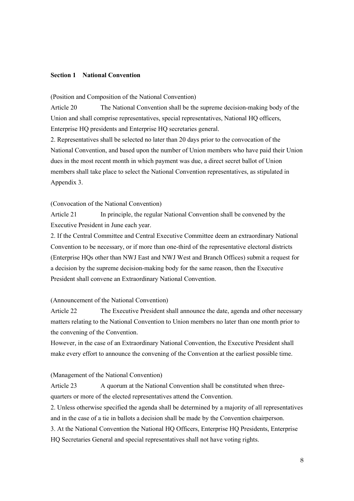## **Section 1 National Convention**

(Position and Composition of the National Convention)

Article 20 The National Convention shall be the supreme decision-making body of the Union and shall comprise representatives, special representatives, National HQ officers, Enterprise HQ presidents and Enterprise HQ secretaries general.

2. Representatives shall be selected no later than 20 days prior to the convocation of the National Convention, and based upon the number of Union members who have paid their Union dues in the most recent month in which payment was due, a direct secret ballot of Union members shall take place to select the National Convention representatives, as stipulated in Appendix 3.

#### (Convocation of the National Convention)

Article 21 In principle, the regular National Convention shall be convened by the Executive President in June each year.

2. If the Central Committee and Central Executive Committee deem an extraordinary National Convention to be necessary, or if more than one-third of the representative electoral districts (Enterprise HQs other than NWJ East and NWJ West and Branch Offices) submit a request for a decision by the supreme decision-making body for the same reason, then the Executive President shall convene an Extraordinary National Convention.

## (Announcement of the National Convention)

Article 22 The Executive President shall announce the date, agenda and other necessary matters relating to the National Convention to Union members no later than one month prior to the convening of the Convention.

However, in the case of an Extraordinary National Convention, the Executive President shall make every effort to announce the convening of the Convention at the earliest possible time.

#### (Management of the National Convention)

Article 23 A quorum at the National Convention shall be constituted when threequarters or more of the elected representatives attend the Convention.

2. Unless otherwise specified the agenda shall be determined by a majority of all representatives and in the case of a tie in ballots a decision shall be made by the Convention chairperson.

3. At the National Convention the National HQ Officers, Enterprise HQ Presidents, Enterprise HQ Secretaries General and special representatives shall not have voting rights.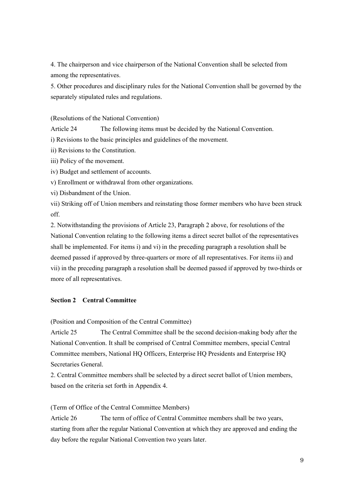4. The chairperson and vice chairperson of the National Convention shall be selected from among the representatives.

5. Other procedures and disciplinary rules for the National Convention shall be governed by the separately stipulated rules and regulations.

## (Resolutions of the National Convention)

Article 24 The following items must be decided by the National Convention.

i) Revisions to the basic principles and guidelines of the movement.

ii) Revisions to the Constitution.

iii) Policy of the movement.

iv) Budget and settlement of accounts.

v) Enrollment or withdrawal from other organizations.

vi) Disbandment of the Union.

vii) Striking off of Union members and reinstating those former members who have been struck off.

2. Notwithstanding the provisions of Article 23, Paragraph 2 above, for resolutions of the National Convention relating to the following items a direct secret ballot of the representatives shall be implemented. For items i) and vi) in the preceding paragraph a resolution shall be deemed passed if approved by three-quarters or more of all representatives. For items ii) and vii) in the preceding paragraph a resolution shall be deemed passed if approved by two-thirds or more of all representatives.

## **Section 2 Central Committee**

(Position and Composition of the Central Committee)

Article 25 The Central Committee shall be the second decision-making body after the National Convention. It shall be comprised of Central Committee members, special Central Committee members, National HQ Officers, Enterprise HQ Presidents and Enterprise HQ Secretaries General.

2. Central Committee members shall be selected by a direct secret ballot of Union members, based on the criteria set forth in Appendix 4.

(Term of Office of the Central Committee Members)

Article 26 The term of office of Central Committee members shall be two years, starting from after the regular National Convention at which they are approved and ending the day before the regular National Convention two years later.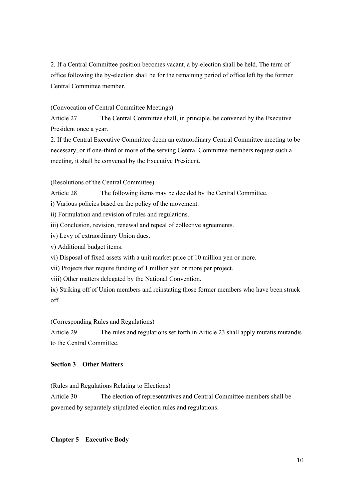2. If a Central Committee position becomes vacant, a by-election shall be held. The term of office following the by-election shall be for the remaining period of office left by the former Central Committee member.

## (Convocation of Central Committee Meetings)

Article 27 The Central Committee shall, in principle, be convened by the Executive President once a year.

2. If the Central Executive Committee deem an extraordinary Central Committee meeting to be necessary, or if one-third or more of the serving Central Committee members request such a meeting, it shall be convened by the Executive President.

(Resolutions of the Central Committee)

Article 28 The following items may be decided by the Central Committee.

i) Various policies based on the policy of the movement.

ii) Formulation and revision of rules and regulations.

iii) Conclusion, revision, renewal and repeal of collective agreements.

iv) Levy of extraordinary Union dues.

v) Additional budget items.

vi) Disposal of fixed assets with a unit market price of 10 million yen or more.

vii) Projects that require funding of 1 million yen or more per project.

viii) Other matters delegated by the National Convention.

ix) Striking off of Union members and reinstating those former members who have been struck off.

(Corresponding Rules and Regulations)

Article 29 The rules and regulations set forth in Article 23 shall apply mutatis mutandis to the Central Committee.

## **Section 3 Other Matters**

(Rules and Regulations Relating to Elections)

Article 30 The election of representatives and Central Committee members shall be governed by separately stipulated election rules and regulations.

## **Chapter 5 Executive Body**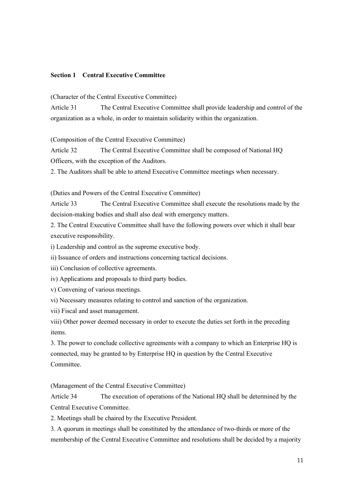## **Section 1 Central Executive Committee**

(Character of the Central Executive Committee)

Article 31 The Central Executive Committee shall provide leadership and control of the organization as a whole, in order to maintain solidarity within the organization.

(Composition of the Central Executive Committee)

Article 32 The Central Executive Committee shall be composed of National HQ Officers, with the exception of the Auditors.

2. The Auditors shall be able to attend Executive Committee meetings when necessary.

(Duties and Powers of the Central Executive Committee)

Article 33 The Central Executive Committee shall execute the resolutions made by the decision-making bodies and shall also deal with emergency matters.

2. The Central Executive Committee shall have the following powers over which it shall bear executive responsibility.

i) Leadership and control as the supreme executive body.

ii) Issuance of orders and instructions concerning tactical decisions.

iii) Conclusion of collective agreements.

iv) Applications and proposals to third party bodies.

v) Convening of various meetings.

vi) Necessary measures relating to control and sanction of the organization.

vii) Fiscal and asset management.

viii) Other power deemed necessary in order to execute the duties set forth in the preceding items.

3. The power to conclude collective agreements with a company to which an Enterprise HQ is connected, may be granted to by Enterprise HQ in question by the Central Executive Committee.

(Management of the Central Executive Committee)

Article 34 The execution of operations of the National HQ shall be determined by the Central Executive Committee.

2. Meetings shall be chaired by the Executive President.

3. A quorum in meetings shall be constituted by the attendance of two-thirds or more of the membership of the Central Executive Committee and resolutions shall be decided by a majority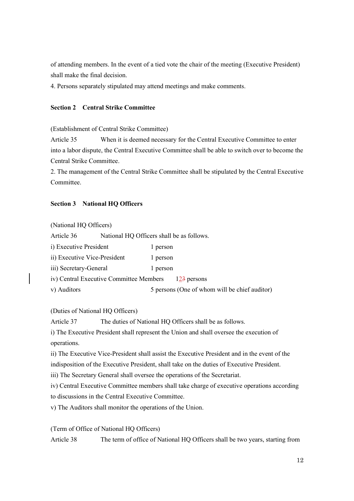of attending members. In the event of a tied vote the chair of the meeting (Executive President) shall make the final decision.

4. Persons separately stipulated may attend meetings and make comments.

## **Section 2 Central Strike Committee**

(Establishment of Central Strike Committee)

Article 35 When it is deemed necessary for the Central Executive Committee to enter into a labor dispute, the Central Executive Committee shall be able to switch over to become the Central Strike Committee.

2. The management of the Central Strike Committee shall be stipulated by the Central Executive Committee.

## **Section 3 National HQ Officers**

(National HQ Officers)

Article 36 National HQ Officers shall be as follows.

| i) Executive President                  | 1 person |                                               |
|-----------------------------------------|----------|-----------------------------------------------|
| ii) Executive Vice-President            | 1 person |                                               |
| iii) Secretary-General                  | 1 person |                                               |
| iv) Central Executive Committee Members |          | 123 persons                                   |
| v) Auditors                             |          | 5 persons (One of whom will be chief auditor) |

(Duties of National HQ Officers)

Article 37 The duties of National HQ Officers shall be as follows.

i) The Executive President shall represent the Union and shall oversee the execution of operations.

ii) The Executive Vice-President shall assist the Executive President and in the event of the indisposition of the Executive President, shall take on the duties of Executive President.

iii) The Secretary General shall oversee the operations of the Secretariat.

iv) Central Executive Committee members shall take charge of executive operations according

to discussions in the Central Executive Committee.

v) The Auditors shall monitor the operations of the Union.

(Term of Office of National HQ Officers)

Article 38 The term of office of National HQ Officers shall be two years, starting from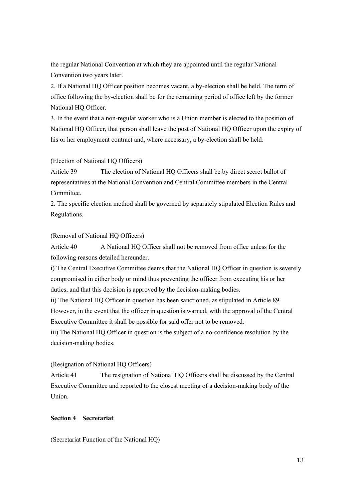the regular National Convention at which they are appointed until the regular National Convention two years later.

2. If a National HQ Officer position becomes vacant, a by-election shall be held. The term of office following the by-election shall be for the remaining period of office left by the former National HQ Officer.

3. In the event that a non-regular worker who is a Union member is elected to the position of National HQ Officer, that person shall leave the post of National HQ Officer upon the expiry of his or her employment contract and, where necessary, a by-election shall be held.

## (Election of National HQ Officers)

Article 39 The election of National HQ Officers shall be by direct secret ballot of representatives at the National Convention and Central Committee members in the Central Committee.

2. The specific election method shall be governed by separately stipulated Election Rules and Regulations.

#### (Removal of National HQ Officers)

Article 40 A National HQ Officer shall not be removed from office unless for the following reasons detailed hereunder.

i) The Central Executive Committee deems that the National HQ Officer in question is severely compromised in either body or mind thus preventing the officer from executing his or her duties, and that this decision is approved by the decision-making bodies.

ii) The National HQ Officer in question has been sanctioned, as stipulated in Article 89. However, in the event that the officer in question is warned, with the approval of the Central Executive Committee it shall be possible for said offer not to be removed.

iii) The National HQ Officer in question is the subject of a no-confidence resolution by the decision-making bodies.

## (Resignation of National HQ Officers)

Article 41 The resignation of National HQ Officers shall be discussed by the Central Executive Committee and reported to the closest meeting of a decision-making body of the Union.

#### **Section 4 Secretariat**

(Secretariat Function of the National HQ)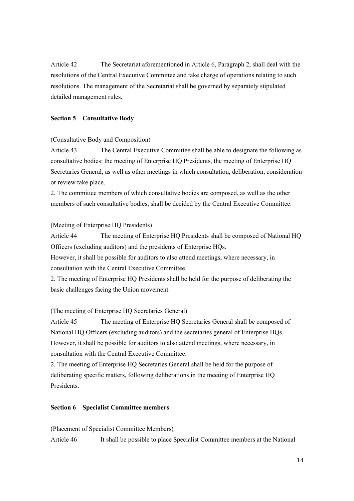Article 42 The Secretariat aforementioned in Article 6, Paragraph 2, shall deal with the resolutions of the Central Executive Committee and take charge of operations relating to such resolutions. The management of the Secretariat shall be governed by separately stipulated detailed management rules.

## **Section 5 Consultative Body**

## (Consultative Body and Composition)

Article 43 The Central Executive Committee shall be able to designate the following as consultative bodies: the meeting of Enterprise HQ Presidents, the meeting of Enterprise HQ Secretaries General, as well as other meetings in which consultation, deliberation, consideration or review take place.

2. The committee members of which consultative bodies are composed, as well as the other members of such consultative bodies, shall be decided by the Central Executive Committee.

#### (Meeting of Enterprise HQ Presidents)

Article 44 The meeting of Enterprise HQ Presidents shall be composed of National HQ Officers (excluding auditors) and the presidents of Enterprise HQs.

However, it shall be possible for auditors to also attend meetings, where necessary, in consultation with the Central Executive Committee.

2. The meeting of Enterprise HQ Presidents shall be held for the purpose of deliberating the basic challenges facing the Union movement.

## (The meeting of Enterprise HQ Secretaries General)

Article 45 The meeting of Enterprise HQ Secretaries General shall be composed of National HQ Officers (excluding auditors) and the secretaries general of Enterprise HQs. However, it shall be possible for auditors to also attend meetings, where necessary, in consultation with the Central Executive Committee.

2. The meeting of Enterprise HQ Secretaries General shall be held for the purpose of deliberating specific matters, following deliberations in the meeting of Enterprise HQ Presidents.

#### **Section 6 Specialist Committee members**

(Placement of Specialist Committee Members)

Article 46 It shall be possible to place Specialist Committee members at the National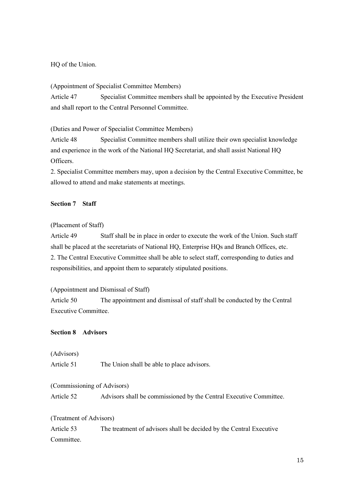## HQ of the Union.

(Appointment of Specialist Committee Members)

Article 47 Specialist Committee members shall be appointed by the Executive President and shall report to the Central Personnel Committee.

(Duties and Power of Specialist Committee Members)

Article 48 Specialist Committee members shall utilize their own specialist knowledge and experience in the work of the National HQ Secretariat, and shall assist National HQ Officers.

2. Specialist Committee members may, upon a decision by the Central Executive Committee, be allowed to attend and make statements at meetings.

## **Section 7 Staff**

## (Placement of Staff)

Article 49 Staff shall be in place in order to execute the work of the Union. Such staff shall be placed at the secretariats of National HQ, Enterprise HQs and Branch Offices, etc. 2. The Central Executive Committee shall be able to select staff, corresponding to duties and responsibilities, and appoint them to separately stipulated positions.

## (Appointment and Dismissal of Staff)

Article 50 The appointment and dismissal of staff shall be conducted by the Central Executive Committee.

## **Section 8 Advisors**

(Advisors)

Article 51 The Union shall be able to place advisors.

## (Commissioning of Advisors)

Article 52 Advisors shall be commissioned by the Central Executive Committee.

## (Treatment of Advisors)

Article 53 The treatment of advisors shall be decided by the Central Executive Committee.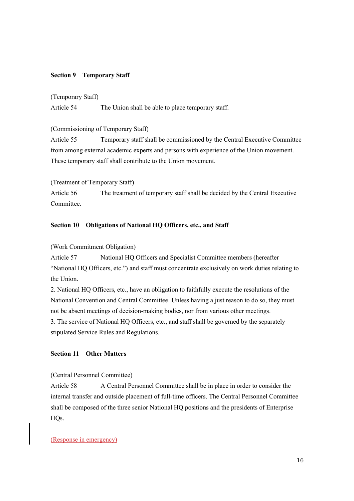## **Section 9 Temporary Staff**

#### (Temporary Staff)

Article 54 The Union shall be able to place temporary staff.

## (Commissioning of Temporary Staff)

Article 55 Temporary staff shall be commissioned by the Central Executive Committee from among external academic experts and persons with experience of the Union movement. These temporary staff shall contribute to the Union movement.

(Treatment of Temporary Staff)

Article 56 The treatment of temporary staff shall be decided by the Central Executive Committee.

## **Section 10 Obligations of National HQ Officers, etc., and Staff**

## (Work Commitment Obligation)

Article 57 National HQ Officers and Specialist Committee members (hereafter "National HQ Officers, etc.") and staff must concentrate exclusively on work duties relating to the Union.

2. National HQ Officers, etc., have an obligation to faithfully execute the resolutions of the National Convention and Central Committee. Unless having a just reason to do so, they must not be absent meetings of decision-making bodies, nor from various other meetings. 3. The service of National HQ Officers, etc., and staff shall be governed by the separately stipulated Service Rules and Regulations.

## **Section 11 Other Matters**

#### (Central Personnel Committee)

Article 58 A Central Personnel Committee shall be in place in order to consider the internal transfer and outside placement of full-time officers. The Central Personnel Committee shall be composed of the three senior National HQ positions and the presidents of Enterprise HO<sub>s</sub>.

## (Response in emergency)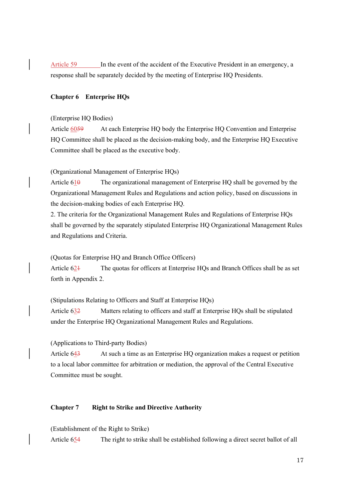Article 59 In the event of the accident of the Executive President in an emergency, a response shall be separately decided by the meeting of Enterprise HQ Presidents.

## **Chapter 6 Enterprise HQs**

#### (Enterprise HQ Bodies)

Article 6059 At each Enterprise HQ body the Enterprise HQ Convention and Enterprise HQ Committee shall be placed as the decision-making body, and the Enterprise HQ Executive Committee shall be placed as the executive body.

(Organizational Management of Enterprise HQs)

Article 610 The organizational management of Enterprise HQ shall be governed by the Organizational Management Rules and Regulations and action policy, based on discussions in the decision-making bodies of each Enterprise HQ.

2. The criteria for the Organizational Management Rules and Regulations of Enterprise HQs shall be governed by the separately stipulated Enterprise HQ Organizational Management Rules and Regulations and Criteria.

(Quotas for Enterprise HQ and Branch Office Officers)

Article 62<sup>1</sup> The quotas for officers at Enterprise HQs and Branch Offices shall be as set forth in Appendix 2.

(Stipulations Relating to Officers and Staff at Enterprise HQs)

Article 632 Matters relating to officers and staff at Enterprise HQs shall be stipulated under the Enterprise HQ Organizational Management Rules and Regulations.

(Applications to Third-party Bodies)

Article 643 At such a time as an Enterprise HQ organization makes a request or petition to a local labor committee for arbitration or mediation, the approval of the Central Executive Committee must be sought.

## **Chapter 7 Right to Strike and Directive Authority**

(Establishment of the Right to Strike)

Article 654 The right to strike shall be established following a direct secret ballot of all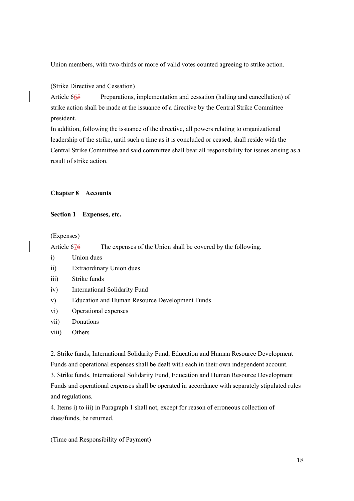Union members, with two-thirds or more of valid votes counted agreeing to strike action.

## (Strike Directive and Cessation)

Article 665 Preparations, implementation and cessation (halting and cancellation) of strike action shall be made at the issuance of a directive by the Central Strike Committee president.

In addition, following the issuance of the directive, all powers relating to organizational leadership of the strike, until such a time as it is concluded or ceased, shall reside with the Central Strike Committee and said committee shall bear all responsibility for issues arising as a result of strike action.

#### **Chapter 8 Accounts**

#### **Section 1 Expenses, etc.**

(Expenses)

Article 676 The expenses of the Union shall be covered by the following.

- i) Union dues
- ii) Extraordinary Union dues
- iii) Strike funds
- iv) International Solidarity Fund
- v) Education and Human Resource Development Funds
- vi) Operational expenses
- vii) Donations

#### viii) Others

2. Strike funds, International Solidarity Fund, Education and Human Resource Development Funds and operational expenses shall be dealt with each in their own independent account.

3. Strike funds, International Solidarity Fund, Education and Human Resource Development Funds and operational expenses shall be operated in accordance with separately stipulated rules and regulations.

4. Items i) to iii) in Paragraph 1 shall not, except for reason of erroneous collection of dues/funds, be returned.

(Time and Responsibility of Payment)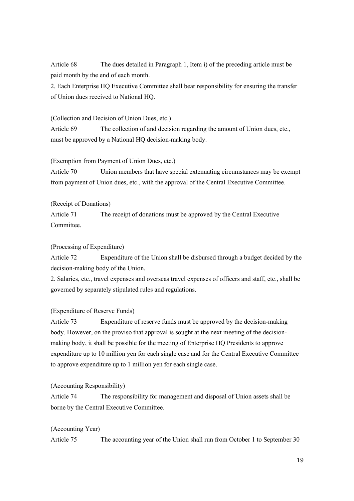Article 68 The dues detailed in Paragraph 1, Item i) of the preceding article must be paid month by the end of each month.

2. Each Enterprise HQ Executive Committee shall bear responsibility for ensuring the transfer of Union dues received to National HQ.

## (Collection and Decision of Union Dues, etc.)

Article 69 The collection of and decision regarding the amount of Union dues, etc., must be approved by a National HQ decision-making body.

## (Exemption from Payment of Union Dues, etc.)

Article 70 Union members that have special extenuating circumstances may be exempt from payment of Union dues, etc., with the approval of the Central Executive Committee.

## (Receipt of Donations)

Article 71 The receipt of donations must be approved by the Central Executive Committee.

## (Processing of Expenditure)

Article 72 Expenditure of the Union shall be disbursed through a budget decided by the decision-making body of the Union.

2. Salaries, etc., travel expenses and overseas travel expenses of officers and staff, etc., shall be governed by separately stipulated rules and regulations.

## (Expenditure of Reserve Funds)

Article 73 Expenditure of reserve funds must be approved by the decision-making body. However, on the proviso that approval is sought at the next meeting of the decisionmaking body, it shall be possible for the meeting of Enterprise HQ Presidents to approve expenditure up to 10 million yen for each single case and for the Central Executive Committee to approve expenditure up to 1 million yen for each single case.

## (Accounting Responsibility)

Article 74 The responsibility for management and disposal of Union assets shall be borne by the Central Executive Committee.

## (Accounting Year)

Article 75 The accounting year of the Union shall run from October 1 to September 30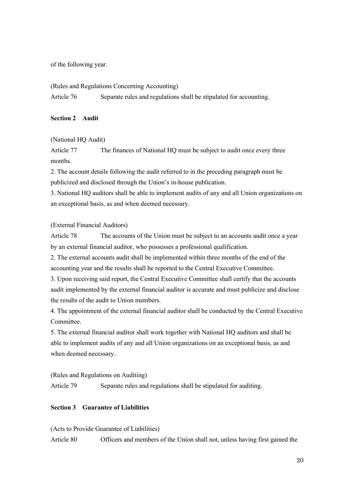of the following year.

(Rules and Regulations Concerning Accounting)

Article 76 Separate rules and regulations shall be stipulated for accounting.

## **Section 2 Audit**

## (National HQ Audit)

Article 77 The finances of National HQ must be subject to audit once every three months.

2. The account details following the audit referred to in the preceding paragraph must be publicized and disclosed through the Union's in-house publication.

3. National HQ auditors shall be able to implement audits of any and all Union organizations on an exceptional basis, as and when deemed necessary.

## (External Financial Auditors)

Article 78 The accounts of the Union must be subject to an accounts audit once a year by an external financial auditor, who possesses a professional qualification.

2. The external accounts audit shall be implemented within three months of the end of the accounting year and the results shall be reported to the Central Executive Committee.

3. Upon receiving said report, the Central Executive Committee shall certify that the accounts audit implemented by the external financial auditor is accurate and must publicize and disclose the results of the audit to Union members.

4. The appointment of the external financial auditor shall be conducted by the Central Executive Committee.

5. The external financial auditor shall work together with National HQ auditors and shall be able to implement audits of any and all Union organizations on an exceptional basis, as and when deemed necessary.

(Rules and Regulations on Auditing)

Article 79 Separate rules and regulations shall be stipulated for auditing.

## **Section 3 Guarantee of Liabilities**

(Acts to Provide Guarantee of Liabilities)

Article 80 Officers and members of the Union shall not, unless having first gained the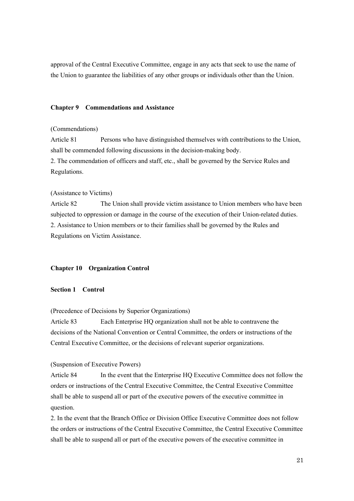approval of the Central Executive Committee, engage in any acts that seek to use the name of the Union to guarantee the liabilities of any other groups or individuals other than the Union.

#### **Chapter 9 Commendations and Assistance**

## (Commendations)

Article 81 Persons who have distinguished themselves with contributions to the Union, shall be commended following discussions in the decision-making body.

2. The commendation of officers and staff, etc., shall be governed by the Service Rules and Regulations.

## (Assistance to Victims)

Article 82 The Union shall provide victim assistance to Union members who have been subjected to oppression or damage in the course of the execution of their Union-related duties. 2. Assistance to Union members or to their families shall be governed by the Rules and Regulations on Victim Assistance.

#### **Chapter 10 Organization Control**

## **Section 1 Control**

(Precedence of Decisions by Superior Organizations)

Article 83 Each Enterprise HQ organization shall not be able to contravene the decisions of the National Convention or Central Committee, the orders or instructions of the Central Executive Committee, or the decisions of relevant superior organizations.

#### (Suspension of Executive Powers)

Article 84 In the event that the Enterprise HQ Executive Committee does not follow the orders or instructions of the Central Executive Committee, the Central Executive Committee shall be able to suspend all or part of the executive powers of the executive committee in question.

2. In the event that the Branch Office or Division Office Executive Committee does not follow the orders or instructions of the Central Executive Committee, the Central Executive Committee shall be able to suspend all or part of the executive powers of the executive committee in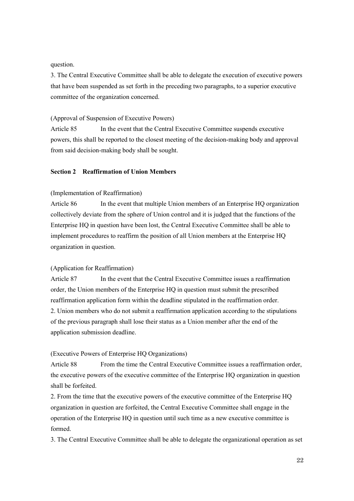#### question.

3. The Central Executive Committee shall be able to delegate the execution of executive powers that have been suspended as set forth in the preceding two paragraphs, to a superior executive committee of the organization concerned.

#### (Approval of Suspension of Executive Powers)

Article 85 In the event that the Central Executive Committee suspends executive powers, this shall be reported to the closest meeting of the decision-making body and approval from said decision-making body shall be sought.

#### **Section 2 Reaffirmation of Union Members**

#### (Implementation of Reaffirmation)

Article 86 In the event that multiple Union members of an Enterprise HQ organization collectively deviate from the sphere of Union control and it is judged that the functions of the Enterprise HQ in question have been lost, the Central Executive Committee shall be able to implement procedures to reaffirm the position of all Union members at the Enterprise HQ organization in question.

#### (Application for Reaffirmation)

Article 87 In the event that the Central Executive Committee issues a reaffirmation order, the Union members of the Enterprise HQ in question must submit the prescribed reaffirmation application form within the deadline stipulated in the reaffirmation order. 2. Union members who do not submit a reaffirmation application according to the stipulations of the previous paragraph shall lose their status as a Union member after the end of the application submission deadline.

## (Executive Powers of Enterprise HQ Organizations)

Article 88 From the time the Central Executive Committee issues a reaffirmation order, the executive powers of the executive committee of the Enterprise HQ organization in question shall be forfeited.

2. From the time that the executive powers of the executive committee of the Enterprise HQ organization in question are forfeited, the Central Executive Committee shall engage in the operation of the Enterprise HQ in question until such time as a new executive committee is formed.

3. The Central Executive Committee shall be able to delegate the organizational operation as set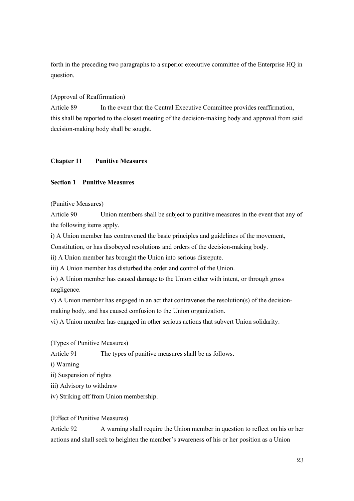forth in the preceding two paragraphs to a superior executive committee of the Enterprise HQ in question.

## (Approval of Reaffirmation)

Article 89 In the event that the Central Executive Committee provides reaffirmation, this shall be reported to the closest meeting of the decision-making body and approval from said decision-making body shall be sought.

## **Chapter 11 Punitive Measures**

## **Section 1 Punitive Measures**

(Punitive Measures)

Article 90 Union members shall be subject to punitive measures in the event that any of the following items apply.

i) A Union member has contravened the basic principles and guidelines of the movement,

Constitution, or has disobeyed resolutions and orders of the decision-making body.

ii) A Union member has brought the Union into serious disrepute.

iii) A Union member has disturbed the order and control of the Union.

iv) A Union member has caused damage to the Union either with intent, or through gross negligence.

v) A Union member has engaged in an act that contravenes the resolution(s) of the decisionmaking body, and has caused confusion to the Union organization.

vi) A Union member has engaged in other serious actions that subvert Union solidarity.

(Types of Punitive Measures)

Article 91 The types of punitive measures shall be as follows.

i) Warning

ii) Suspension of rights

iii) Advisory to withdraw

iv) Striking off from Union membership.

(Effect of Punitive Measures)

Article 92 A warning shall require the Union member in question to reflect on his or her actions and shall seek to heighten the member's awareness of his or her position as a Union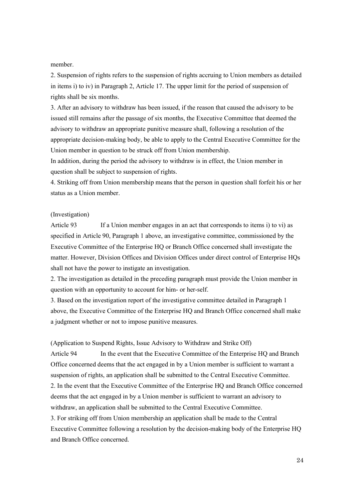member.

2. Suspension of rights refers to the suspension of rights accruing to Union members as detailed in items i) to iv) in Paragraph 2, Article 17. The upper limit for the period of suspension of rights shall be six months.

3. After an advisory to withdraw has been issued, if the reason that caused the advisory to be issued still remains after the passage of six months, the Executive Committee that deemed the advisory to withdraw an appropriate punitive measure shall, following a resolution of the appropriate decision-making body, be able to apply to the Central Executive Committee for the Union member in question to be struck off from Union membership.

In addition, during the period the advisory to withdraw is in effect, the Union member in question shall be subject to suspension of rights.

4. Striking off from Union membership means that the person in question shall forfeit his or her status as a Union member.

#### (Investigation)

Article 93 If a Union member engages in an act that corresponds to items i) to vi) as specified in Article 90, Paragraph 1 above, an investigative committee, commissioned by the Executive Committee of the Enterprise HQ or Branch Office concerned shall investigate the matter. However, Division Offices and Division Offices under direct control of Enterprise HQs shall not have the power to instigate an investigation.

2. The investigation as detailed in the preceding paragraph must provide the Union member in question with an opportunity to account for him- or her-self.

3. Based on the investigation report of the investigative committee detailed in Paragraph 1 above, the Executive Committee of the Enterprise HQ and Branch Office concerned shall make a judgment whether or not to impose punitive measures.

(Application to Suspend Rights, Issue Advisory to Withdraw and Strike Off)

Article 94 In the event that the Executive Committee of the Enterprise HQ and Branch Office concerned deems that the act engaged in by a Union member is sufficient to warrant a suspension of rights, an application shall be submitted to the Central Executive Committee. 2. In the event that the Executive Committee of the Enterprise HQ and Branch Office concerned deems that the act engaged in by a Union member is sufficient to warrant an advisory to withdraw, an application shall be submitted to the Central Executive Committee.

3. For striking off from Union membership an application shall be made to the Central Executive Committee following a resolution by the decision-making body of the Enterprise HQ and Branch Office concerned.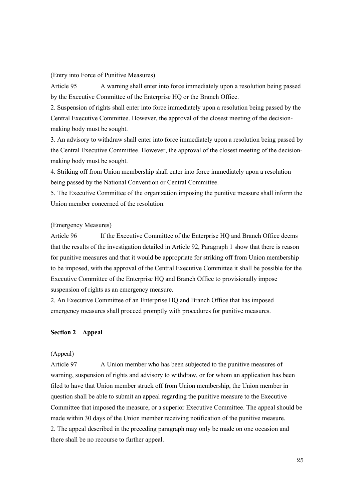#### (Entry into Force of Punitive Measures)

Article 95 A warning shall enter into force immediately upon a resolution being passed by the Executive Committee of the Enterprise HQ or the Branch Office.

2. Suspension of rights shall enter into force immediately upon a resolution being passed by the Central Executive Committee. However, the approval of the closest meeting of the decisionmaking body must be sought.

3. An advisory to withdraw shall enter into force immediately upon a resolution being passed by the Central Executive Committee. However, the approval of the closest meeting of the decisionmaking body must be sought.

4. Striking off from Union membership shall enter into force immediately upon a resolution being passed by the National Convention or Central Committee.

5. The Executive Committee of the organization imposing the punitive measure shall inform the Union member concerned of the resolution.

## (Emergency Measures)

Article 96 If the Executive Committee of the Enterprise HQ and Branch Office deems that the results of the investigation detailed in Article 92, Paragraph 1 show that there is reason for punitive measures and that it would be appropriate for striking off from Union membership to be imposed, with the approval of the Central Executive Committee it shall be possible for the Executive Committee of the Enterprise HQ and Branch Office to provisionally impose suspension of rights as an emergency measure.

2. An Executive Committee of an Enterprise HQ and Branch Office that has imposed emergency measures shall proceed promptly with procedures for punitive measures.

#### **Section 2 Appeal**

## (Appeal)

Article 97 A Union member who has been subjected to the punitive measures of warning, suspension of rights and advisory to withdraw, or for whom an application has been filed to have that Union member struck off from Union membership, the Union member in question shall be able to submit an appeal regarding the punitive measure to the Executive Committee that imposed the measure, or a superior Executive Committee. The appeal should be made within 30 days of the Union member receiving notification of the punitive measure. 2. The appeal described in the preceding paragraph may only be made on one occasion and there shall be no recourse to further appeal.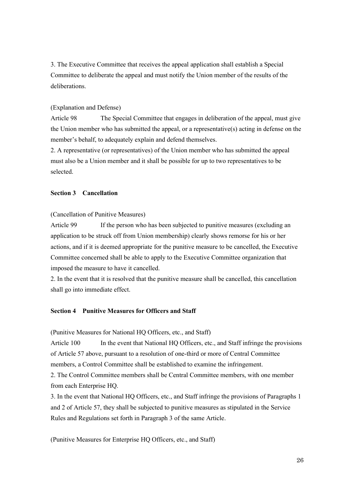3. The Executive Committee that receives the appeal application shall establish a Special Committee to deliberate the appeal and must notify the Union member of the results of the deliberations.

## (Explanation and Defense)

Article 98 The Special Committee that engages in deliberation of the appeal, must give the Union member who has submitted the appeal, or a representative(s) acting in defense on the member's behalf, to adequately explain and defend themselves.

2. A representative (or representatives) of the Union member who has submitted the appeal must also be a Union member and it shall be possible for up to two representatives to be selected.

## **Section 3 Cancellation**

#### (Cancellation of Punitive Measures)

Article 99 If the person who has been subjected to punitive measures (excluding an application to be struck off from Union membership) clearly shows remorse for his or her actions, and if it is deemed appropriate for the punitive measure to be cancelled, the Executive Committee concerned shall be able to apply to the Executive Committee organization that imposed the measure to have it cancelled.

2. In the event that it is resolved that the punitive measure shall be cancelled, this cancellation shall go into immediate effect.

## **Section 4 Punitive Measures for Officers and Staff**

(Punitive Measures for National HQ Officers, etc., and Staff)

Article 100 In the event that National HQ Officers, etc., and Staff infringe the provisions of Article 57 above, pursuant to a resolution of one-third or more of Central Committee members, a Control Committee shall be established to examine the infringement.

2. The Control Committee members shall be Central Committee members, with one member from each Enterprise HQ.

3. In the event that National HQ Officers, etc., and Staff infringe the provisions of Paragraphs 1 and 2 of Article 57, they shall be subjected to punitive measures as stipulated in the Service Rules and Regulations set forth in Paragraph 3 of the same Article.

(Punitive Measures for Enterprise HQ Officers, etc., and Staff)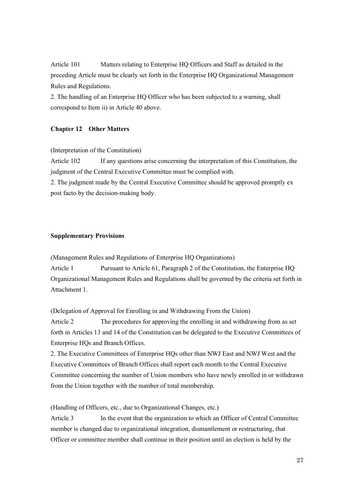Article 101 Matters relating to Enterprise HQ Officers and Staff as detailed in the preceding Article must be clearly set forth in the Enterprise HQ Organizational Management Rules and Regulations.

2. The handling of an Enterprise HQ Officer who has been subjected to a warning, shall correspond to Item ii) in Article 40 above.

## **Chapter 12 Other Matters**

## (Interpretation of the Constitution)

Article 102 If any questions arise concerning the interpretation of this Constitution, the judgment of the Central Executive Committee must be complied with.

2. The judgment made by the Central Executive Committee should be approved promptly ex post facto by the decision-making body.

#### **Supplementary Provisions**

(Management Rules and Regulations of Enterprise HQ Organizations) Article 1 Pursuant to Article 61, Paragraph 2 of the Constitution, the Enterprise HQ Organizational Management Rules and Regulations shall be governed by the criteria set forth in Attachment 1.

(Delegation of Approval for Enrolling in and Withdrawing From the Union)

Article 2 The procedures for approving the enrolling in and withdrawing from as set forth in Articles 13 and 14 of the Constitution can be delegated to the Executive Committees of Enterprise HQs and Branch Offices.

2. The Executive Committees of Enterprise HQs other than NWJ East and NWJ West and the Executive Committees of Branch Offices shall report each month to the Central Executive Committee concerning the number of Union members who have newly enrolled in or withdrawn from the Union together with the number of total membership.

(Handling of Officers, etc., due to Organizational Changes, etc.)

Article 3 In the event that the organization to which an Officer of Central Committee member is changed due to organizational integration, dismantlement or restructuring, that Officer or committee member shall continue in their position until an election is held by the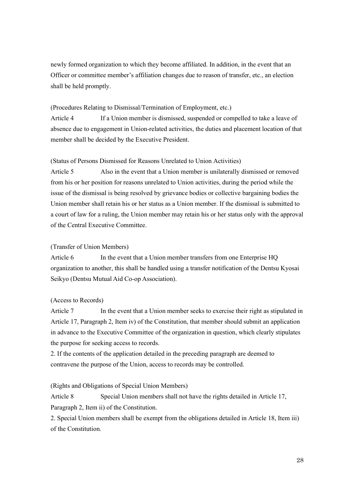newly formed organization to which they become affiliated. In addition, in the event that an Officer or committee member's affiliation changes due to reason of transfer, etc., an election shall be held promptly.

## (Procedures Relating to Dismissal/Termination of Employment, etc.)

Article 4 If a Union member is dismissed, suspended or compelled to take a leave of absence due to engagement in Union-related activities, the duties and placement location of that member shall be decided by the Executive President.

#### (Status of Persons Dismissed for Reasons Unrelated to Union Activities)

Article 5 Also in the event that a Union member is unilaterally dismissed or removed from his or her position for reasons unrelated to Union activities, during the period while the issue of the dismissal is being resolved by grievance bodies or collective bargaining bodies the Union member shall retain his or her status as a Union member. If the dismissal is submitted to a court of law for a ruling, the Union member may retain his or her status only with the approval of the Central Executive Committee.

#### (Transfer of Union Members)

Article 6 In the event that a Union member transfers from one Enterprise HQ organization to another, this shall be handled using a transfer notification of the Dentsu Kyosai Seikyo (Dentsu Mutual Aid Co-op Association).

#### (Access to Records)

Article 7 In the event that a Union member seeks to exercise their right as stipulated in Article 17, Paragraph 2, Item iv) of the Constitution, that member should submit an application in advance to the Executive Committee of the organization in question, which clearly stipulates the purpose for seeking access to records.

2. If the contents of the application detailed in the preceding paragraph are deemed to contravene the purpose of the Union, access to records may be controlled.

#### (Rights and Obligations of Special Union Members)

Article 8 Special Union members shall not have the rights detailed in Article 17, Paragraph 2, Item ii) of the Constitution.

2. Special Union members shall be exempt from the obligations detailed in Article 18, Item iii) of the Constitution.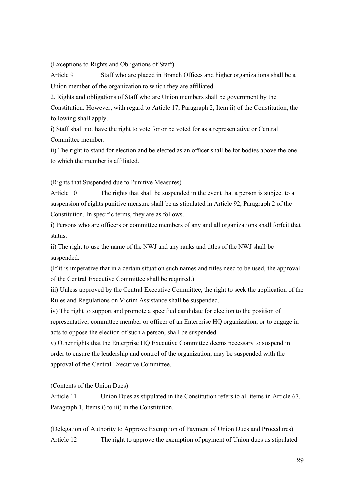(Exceptions to Rights and Obligations of Staff)

Article 9 Staff who are placed in Branch Offices and higher organizations shall be a Union member of the organization to which they are affiliated.

2. Rights and obligations of Staff who are Union members shall be government by the Constitution. However, with regard to Article 17, Paragraph 2, Item ii) of the Constitution, the following shall apply.

i) Staff shall not have the right to vote for or be voted for as a representative or Central Committee member.

ii) The right to stand for election and be elected as an officer shall be for bodies above the one to which the member is affiliated.

(Rights that Suspended due to Punitive Measures)

Article 10 The rights that shall be suspended in the event that a person is subject to a suspension of rights punitive measure shall be as stipulated in Article 92, Paragraph 2 of the Constitution. In specific terms, they are as follows.

i) Persons who are officers or committee members of any and all organizations shall forfeit that status.

ii) The right to use the name of the NWJ and any ranks and titles of the NWJ shall be suspended.

(If it is imperative that in a certain situation such names and titles need to be used, the approval of the Central Executive Committee shall be required.)

iii) Unless approved by the Central Executive Committee, the right to seek the application of the Rules and Regulations on Victim Assistance shall be suspended.

iv) The right to support and promote a specified candidate for election to the position of representative, committee member or officer of an Enterprise HQ organization, or to engage in acts to oppose the election of such a person, shall be suspended.

v) Other rights that the Enterprise HQ Executive Committee deems necessary to suspend in order to ensure the leadership and control of the organization, may be suspended with the approval of the Central Executive Committee.

(Contents of the Union Dues)

Article 11 Union Dues as stipulated in the Constitution refers to all items in Article 67, Paragraph 1, Items i) to iii) in the Constitution.

(Delegation of Authority to Approve Exemption of Payment of Union Dues and Procedures) Article 12 The right to approve the exemption of payment of Union dues as stipulated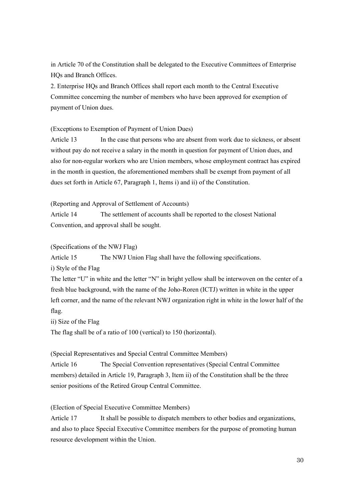in Article 70 of the Constitution shall be delegated to the Executive Committees of Enterprise HQs and Branch Offices.

2. Enterprise HQs and Branch Offices shall report each month to the Central Executive Committee concerning the number of members who have been approved for exemption of payment of Union dues.

(Exceptions to Exemption of Payment of Union Dues)

Article 13 In the case that persons who are absent from work due to sickness, or absent without pay do not receive a salary in the month in question for payment of Union dues, and also for non-regular workers who are Union members, whose employment contract has expired in the month in question, the aforementioned members shall be exempt from payment of all dues set forth in Article 67, Paragraph 1, Items i) and ii) of the Constitution.

(Reporting and Approval of Settlement of Accounts)

Article 14 The settlement of accounts shall be reported to the closest National Convention, and approval shall be sought.

(Specifications of the NWJ Flag)

Article 15 The NWJ Union Flag shall have the following specifications.

i) Style of the Flag

The letter "U" in white and the letter "N" in bright yellow shall be interwoven on the center of a fresh blue background, with the name of the Joho-Roren (ICTJ) written in white in the upper left corner, and the name of the relevant NWJ organization right in white in the lower half of the flag.

ii) Size of the Flag

The flag shall be of a ratio of 100 (vertical) to 150 (horizontal).

(Special Representatives and Special Central Committee Members)

Article 16 The Special Convention representatives (Special Central Committee members) detailed in Article 19, Paragraph 3, Item ii) of the Constitution shall be the three senior positions of the Retired Group Central Committee.

(Election of Special Executive Committee Members)

Article 17 It shall be possible to dispatch members to other bodies and organizations, and also to place Special Executive Committee members for the purpose of promoting human resource development within the Union.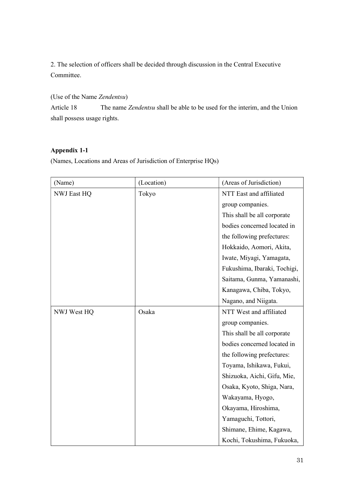2. The selection of officers shall be decided through discussion in the Central Executive Committee.

(Use of the Name *Zendentsu*)

Article 18 The name *Zendentsu* shall be able to be used for the interim, and the Union shall possess usage rights.

## **Appendix 1-1**

(Names, Locations and Areas of Jurisdiction of Enterprise HQs)

| (Name)             | (Location) | (Areas of Jurisdiction)      |
|--------------------|------------|------------------------------|
| <b>NWJ East HQ</b> | Tokyo      | NTT East and affiliated      |
|                    |            | group companies.             |
|                    |            | This shall be all corporate  |
|                    |            | bodies concerned located in  |
|                    |            | the following prefectures:   |
|                    |            | Hokkaido, Aomori, Akita,     |
|                    |            | Iwate, Miyagi, Yamagata,     |
|                    |            | Fukushima, Ibaraki, Tochigi, |
|                    |            | Saitama, Gunma, Yamanashi,   |
|                    |            | Kanagawa, Chiba, Tokyo,      |
|                    |            | Nagano, and Niigata.         |
| NWJ West HQ        | Osaka      | NTT West and affiliated      |
|                    |            | group companies.             |
|                    |            | This shall be all corporate  |
|                    |            | bodies concerned located in  |
|                    |            | the following prefectures:   |
|                    |            | Toyama, Ishikawa, Fukui,     |
|                    |            | Shizuoka, Aichi, Gifu, Mie,  |
|                    |            | Osaka, Kyoto, Shiga, Nara,   |
|                    |            | Wakayama, Hyogo,             |
|                    |            | Okayama, Hiroshima,          |
|                    |            | Yamaguchi, Tottori,          |
|                    |            | Shimane, Ehime, Kagawa,      |
|                    |            | Kochi, Tokushima, Fukuoka,   |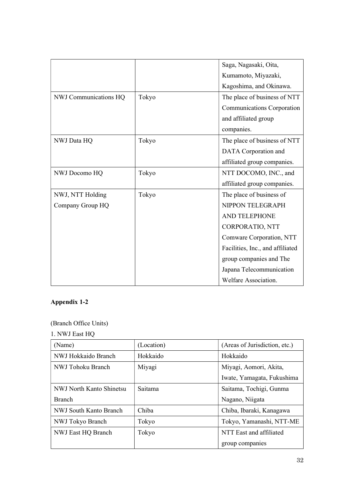|                       |       | Saga, Nagasaki, Oita,            |
|-----------------------|-------|----------------------------------|
|                       |       | Kumamoto, Miyazaki,              |
|                       |       | Kagoshima, and Okinawa.          |
| NWJ Communications HQ | Tokyo | The place of business of NTT     |
|                       |       | Communications Corporation       |
|                       |       | and affiliated group             |
|                       |       | companies.                       |
| NWJ Data HQ           | Tokyo | The place of business of NTT     |
|                       |       | DATA Corporation and             |
|                       |       | affiliated group companies.      |
| NWJ Docomo HQ         | Tokyo | NTT DOCOMO, INC., and            |
|                       |       | affiliated group companies.      |
| NWJ, NTT Holding      | Tokyo | The place of business of         |
| Company Group HQ      |       | NIPPON TELEGRAPH                 |
|                       |       | AND TELEPHONE                    |
|                       |       | CORPORATIO, NTT                  |
|                       |       | Comware Corporation, NTT         |
|                       |       | Facilities, Inc., and affiliated |
|                       |       | group companies and The          |
|                       |       | Japana Telecommunication         |
|                       |       | Welfare Association.             |

## **Appendix 1-2**

(Branch Office Units)

1. NWJ East HQ

| (Name)                   | (Location) | (Areas of Jurisdiction, etc.) |  |
|--------------------------|------------|-------------------------------|--|
| NWJ Hokkaido Branch      | Hokkaido   | Hokkaido                      |  |
| NWJ Tohoku Branch        | Miyagi     | Miyagi, Aomori, Akita,        |  |
|                          |            | Iwate, Yamagata, Fukushima    |  |
| NWJ North Kanto Shinetsu | Saitama    | Saitama, Tochigi, Gunma       |  |
| Branch                   |            | Nagano, Niigata               |  |
| NWJ South Kanto Branch   | Chiba      | Chiba, Ibaraki, Kanagawa      |  |
| NWJ Tokyo Branch         | Tokyo      | Tokyo, Yamanashi, NTT-ME      |  |
| NWJ East HQ Branch       | Tokyo      | NTT East and affiliated       |  |
|                          |            | group companies               |  |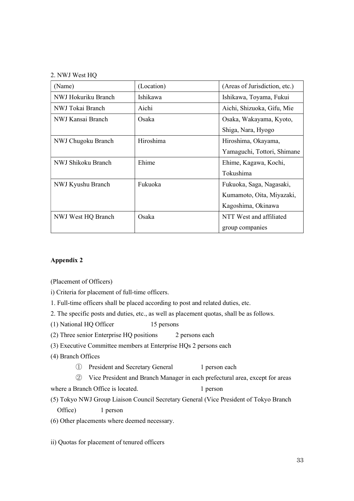#### 2. NWJ West HQ

| (Name)              | (Location) | (Areas of Jurisdiction, etc.) |
|---------------------|------------|-------------------------------|
| NWJ Hokuriku Branch | Ishikawa   | Ishikawa, Toyama, Fukui       |
| NWJ Tokai Branch    | Aichi      | Aichi, Shizuoka, Gifu, Mie    |
| NWJ Kansai Branch   | Osaka      | Osaka, Wakayama, Kyoto,       |
|                     |            | Shiga, Nara, Hyogo            |
| NWJ Chugoku Branch  | Hiroshima  | Hiroshima, Okayama,           |
|                     |            | Yamaguchi, Tottori, Shimane   |
| NWJ Shikoku Branch  | Ehime      | Ehime, Kagawa, Kochi,         |
|                     |            | Tokushima                     |
| NWJ Kyushu Branch   | Fukuoka    | Fukuoka, Saga, Nagasaki,      |
|                     |            | Kumamoto, Oita, Miyazaki,     |
|                     |            | Kagoshima, Okinawa            |
| NWJ West HQ Branch  | Osaka      | NTT West and affiliated       |
|                     |            | group companies               |

## **Appendix 2**

(Placement of Officers)

i) Criteria for placement of full-time officers.

1. Full-time officers shall be placed according to post and related duties, etc.

2. The specific posts and duties, etc., as well as placement quotas, shall be as follows.

(1) National HQ Officer 15 persons

(2) Three senior Enterprise HQ positions 2 persons each

(3) Executive Committee members at Enterprise HQs 2 persons each

(4) Branch Offices

① President and Secretary General 1 person each

② Vice President and Branch Manager in each prefectural area, except for areas

where a Branch Office is located. 1 person

(5) Tokyo NWJ Group Liaison Council Secretary General (Vice President of Tokyo Branch Office) 1 person

(6) Other placements where deemed necessary.

ii) Quotas for placement of tenured officers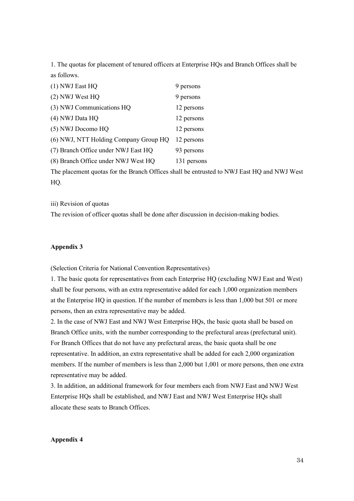1. The quotas for placement of tenured officers at Enterprise HQs and Branch Offices shall be as follows.

| (1) NWJ East HQ                       | 9 persons   |
|---------------------------------------|-------------|
| (2) NWJ West HQ                       | 9 persons   |
| (3) NWJ Communications HQ             | 12 persons  |
| (4) NWJ Data HQ                       | 12 persons  |
| (5) NWJ Docomo HQ                     | 12 persons  |
| (6) NWJ, NTT Holding Company Group HQ | 12 persons  |
| (7) Branch Office under NWJ East HQ   | 93 persons  |
| (8) Branch Office under NWJ West HQ   | 131 persons |

The placement quotas for the Branch Offices shall be entrusted to NWJ East HQ and NWJ West HQ.

iii) Revision of quotas

The revision of officer quotas shall be done after discussion in decision-making bodies.

### **Appendix 3**

(Selection Criteria for National Convention Representatives)

1. The basic quota for representatives from each Enterprise HQ (excluding NWJ East and West) shall be four persons, with an extra representative added for each 1,000 organization members at the Enterprise HQ in question. If the number of members is less than 1,000 but 501 or more persons, then an extra representative may be added.

2. In the case of NWJ East and NWJ West Enterprise HQs, the basic quota shall be based on Branch Office units, with the number corresponding to the prefectural areas (prefectural unit). For Branch Offices that do not have any prefectural areas, the basic quota shall be one representative. In addition, an extra representative shall be added for each 2,000 organization members. If the number of members is less than 2,000 but 1,001 or more persons, then one extra representative may be added.

3. In addition, an additional framework for four members each from NWJ East and NWJ West Enterprise HQs shall be established, and NWJ East and NWJ West Enterprise HQs shall allocate these seats to Branch Offices.

### **Appendix 4**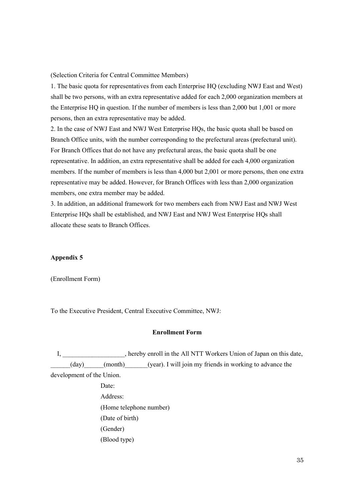(Selection Criteria for Central Committee Members)

1. The basic quota for representatives from each Enterprise HQ (excluding NWJ East and West) shall be two persons, with an extra representative added for each 2,000 organization members at the Enterprise HQ in question. If the number of members is less than 2,000 but 1,001 or more persons, then an extra representative may be added.

2. In the case of NWJ East and NWJ West Enterprise HQs, the basic quota shall be based on Branch Office units, with the number corresponding to the prefectural areas (prefectural unit). For Branch Offices that do not have any prefectural areas, the basic quota shall be one representative. In addition, an extra representative shall be added for each 4,000 organization members. If the number of members is less than 4,000 but 2,001 or more persons, then one extra representative may be added. However, for Branch Offices with less than 2,000 organization members, one extra member may be added.

3. In addition, an additional framework for two members each from NWJ East and NWJ West Enterprise HQs shall be established, and NWJ East and NWJ West Enterprise HQs shall allocate these seats to Branch Offices.

## **Appendix 5**

(Enrollment Form)

To the Executive President, Central Executive Committee, NWJ:

#### **Enrollment Form**

I, hereby enroll in the All NTT Workers Union of Japan on this date, (day) (month) (year). I will join my friends in working to advance the development of the Union.

> Date: Address: (Home telephone number) (Date of birth) (Gender) (Blood type)